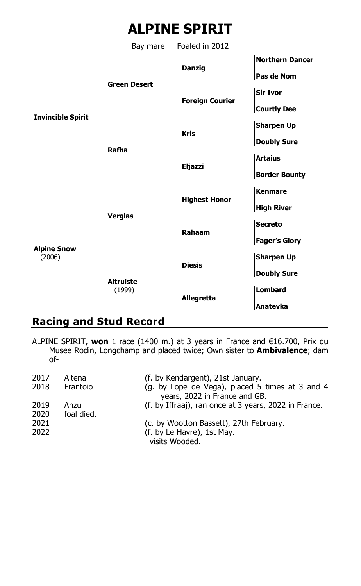# **ALPINE SPIRIT**

Bay mare Foaled in 2012



# **Racing and Stud Record**

ALPINE SPIRIT, **won** 1 race (1400 m.) at 3 years in France and €16.700, Prix du Musee Rodin, Longchamp and placed twice; Own sister to **Ambivalence**; dam of-

| 2017<br>2018 | Altena<br>Frantoio | (f. by Kendargent), 21st January.<br>(g. by Lope de Vega), placed 5 times at 3 and 4<br>years, 2022 in France and GB. |
|--------------|--------------------|-----------------------------------------------------------------------------------------------------------------------|
| 2019<br>2020 | Anzu<br>foal died. | (f. by Iffraaj), ran once at 3 years, 2022 in France.                                                                 |
| 2021<br>2022 |                    | (c. by Wootton Bassett), 27th February.<br>(f. by Le Havre), 1st May.<br>visits Wooded.                               |